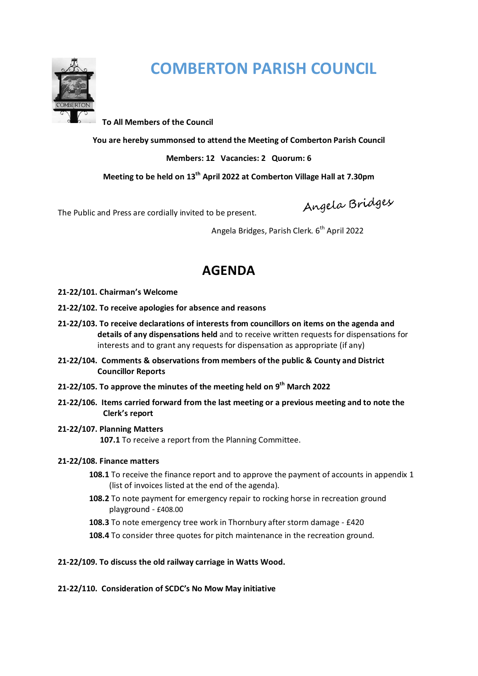

# **COMBERTON PARISH COUNCIL**

**To All Members of the Council** 

**You are hereby summonsed to attend the Meeting of Comberton Parish Council** 

**Members: 12 Vacancies: 2 Quorum: 6** 

**Meeting to be held on 13th April 2022 at Comberton Village Hall at 7.30pm** 

Angela Bridges

The Public and Press are cordially invited to be present.

Angela Bridges, Parish Clerk.  $6<sup>th</sup>$  April 2022

# **AGENDA**

- **21-22/101. Chairman's Welcome**
- **21-22/102. To receive apologies for absence and reasons**
- **21-22/103. To receive declarations of interests from councillors on items on the agenda and details of any dispensations held** and to receive written requests for dispensations for interests and to grant any requests for dispensation as appropriate (if any)
- **21-22/104. Comments & observations from members of the public & County and District Councillor Reports**
- **21-22/105. To approve the minutes of the meeting held on 9th March 2022**
- **21-22/106. Items carried forward from the last meeting or a previous meeting and to note the Clerk's report**
- **21-22/107. Planning Matters 107.1** To receive a report from the Planning Committee.

## **21-22/108. Finance matters**

- **108.1** To receive the finance report and to approve the payment of accounts in appendix 1 (list of invoices listed at the end of the agenda).
- **108.2** To note payment for emergency repair to rocking horse in recreation ground playground - £408.00
- **108.3** To note emergency tree work in Thornbury after storm damage £420
- **108.4** To consider three quotes for pitch maintenance in the recreation ground.

## **21-22/109. To discuss the old railway carriage in Watts Wood.**

## **21-22/110. Consideration of SCDC's No Mow May initiative**